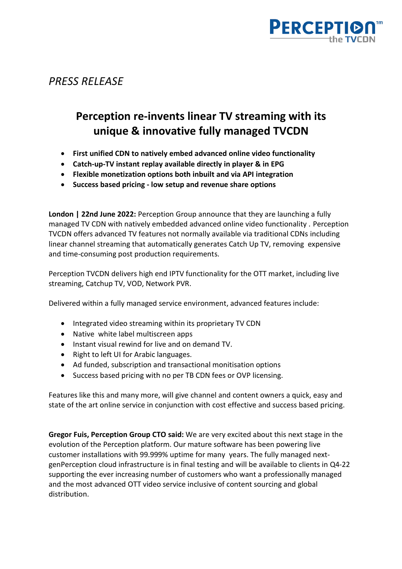

*PRESS RELEASE*

## **Perception re-invents linear TV streaming with its unique & innovative fully managed TVCDN**

- **First unified CDN to natively embed advanced online video functionality**
- **Catch-up-TV instant replay available directly in player & in EPG**
- **Flexible monetization options both inbuilt and via API integration**
- **Success based pricing - low setup and revenue share options**

**London | 22nd June 2022:** Perception Group announce that they are launching a fully managed TV CDN with natively embedded advanced online video functionality . Perception TVCDN offers advanced TV features not normally available via traditional CDNs including linear channel streaming that automatically generates Catch Up TV, removing expensive and time-consuming post production requirements.

Perception TVCDN delivers high end IPTV functionality for the OTT market, including live streaming, Catchup TV, VOD, Network PVR.

Delivered within a fully managed service environment, advanced features include:

- Integrated video streaming within its proprietary TV CDN
- Native white label multiscreen apps
- Instant visual rewind for live and on demand TV.
- Right to left UI for Arabic languages.
- Ad funded, subscription and transactional monitisation options
- Success based pricing with no per TB CDN fees or OVP licensing.

Features like this and many more, will give channel and content owners a quick, easy and state of the art online service in conjunction with cost effective and success based pricing.

**Gregor Fuis, Perception Group CTO said:** We are very excited about this next stage in the evolution of the Perception platform. Our mature software has been powering live customer installations with 99.999% uptime for many years. The fully managed nextgenPerception cloud infrastructure is in final testing and will be available to clients in Q4-22 supporting the ever increasing number of customers who want a professionally managed and the most advanced OTT video service inclusive of content sourcing and global distribution.